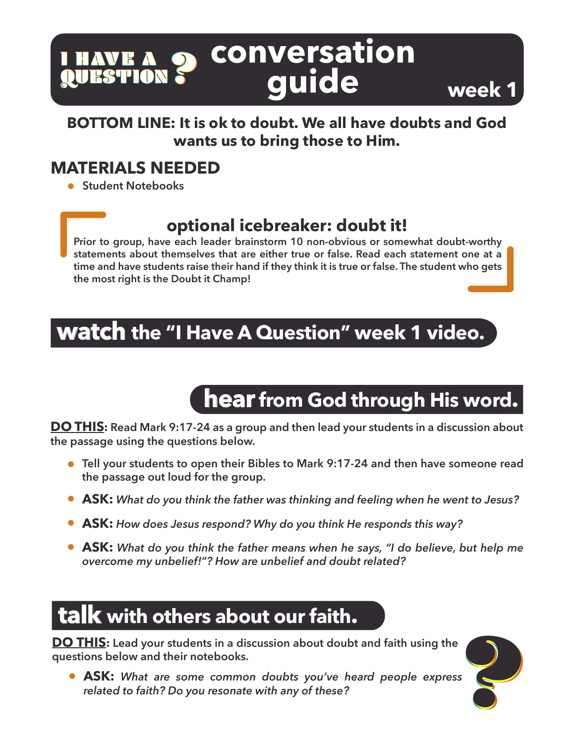#### conversation I HAVE A I HAVE A<br><mark>Q</mark>UESTION quide

#### **BOTTOM LINE: It is ok to doubt. We all have doubts and God wants us to bring those to Him.**

### **MATERIALS NEEDED**

**Student Notebooks** 

### **optional icebreaker: doubt it!**

**Prior to group, have each leader brainstorm 10 non-obvious or somewhat doubt-worthy statements about themselves that are either true or false. Read each statement one at a time and have students raise their hand if they think it is true or false. The student who gets the most right is the Doubt it Champ!**

## **watch the "I Have A Question" week 1 video.**

# **hear from God through His word.**

**week 1**

**DO THIS: Read Mark 9:17-24 as a group and then lead your students in a discussion about the passage using the questions below.** 

- **Tell your students to open their Bibles to Mark 9:17-24 and then have someone read the passage out loud for the group.**
- **ASK:** *What do you think the father was thinking and feeling when he went to Jesus?*
- **ASK:** *How does Jesus respond? Why do you think He responds this way?*
- **ASK:** *What do you think the father means when he says, "I do believe, but help me overcome my unbelief!"? How are unbelief and doubt related?*

# **talk with others about our faith.**

**DO THIS: Lead your students in a discussion about doubt and faith using the questions below and their notebooks.** 

**ASK:** *What are some common doubts you've heard people express related to faith? Do you resonate with any of these?*